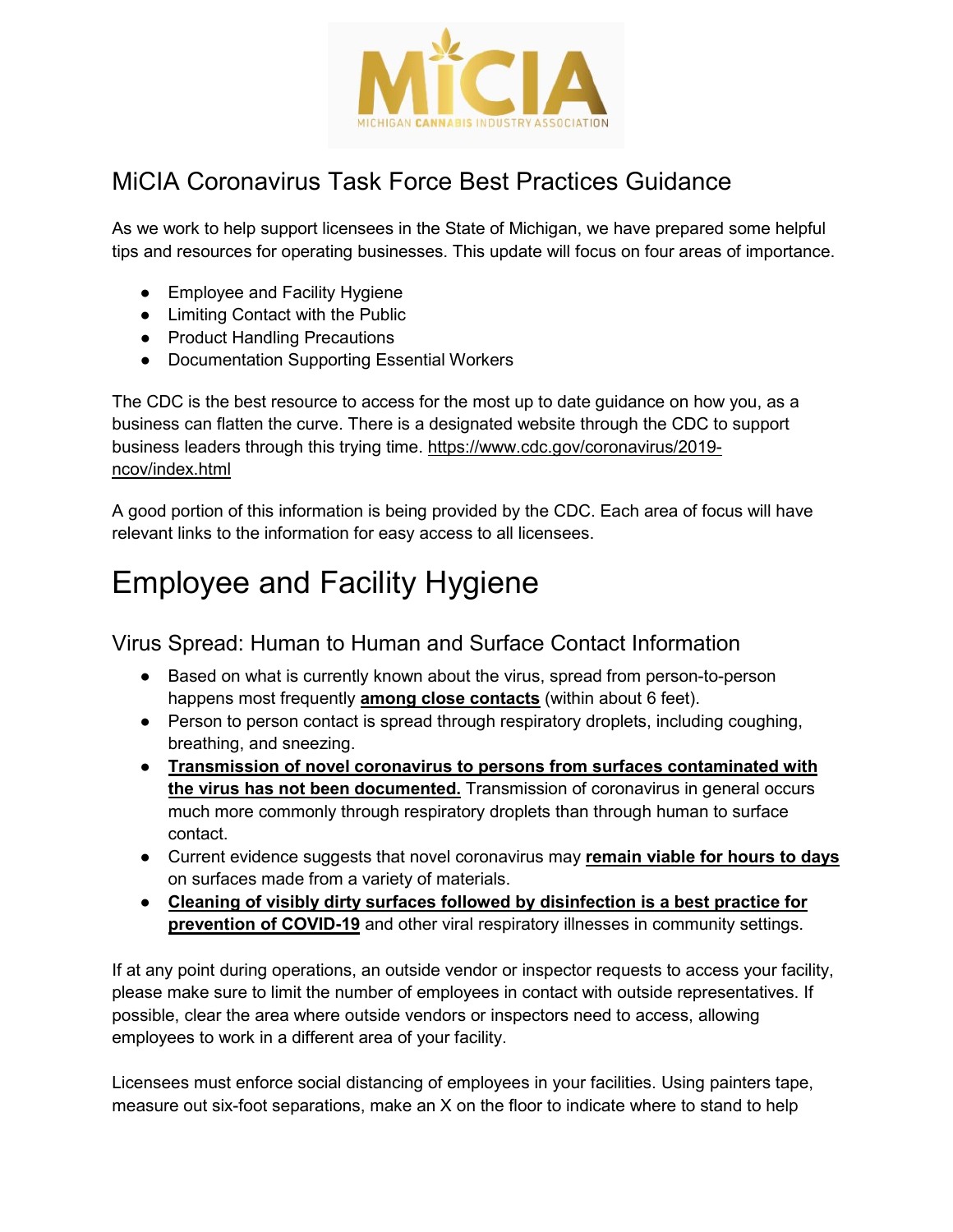

## MiCIA Coronavirus Task Force Best Practices Guidance

As we work to help support licensees in the State of Michigan, we have prepared some helpful tips and resources for operating businesses. This update will focus on four areas of importance.

- Employee and Facility Hygiene
- Limiting Contact with the Public
- Product Handling Precautions
- Documentation Supporting Essential Workers

The CDC is the best resource to access for the most up to date guidance on how you, as a business can flatten the curve. There is a designated website through the CDC to support business leaders through this trying time. [https://www.cdc.gov/coronavirus/2019](https://www.cdc.gov/coronavirus/2019-ncov/index.html) [ncov/index.html](https://www.cdc.gov/coronavirus/2019-ncov/index.html)

A good portion of this information is being provided by the CDC. Each area of focus will have relevant links to the information for easy access to all licensees.

## Employee and Facility Hygiene

### Virus Spread: Human to Human and Surface Contact Information

- Based on what is currently known about the virus, spread from person-to-person happens most frequently **among close contacts** (within about 6 feet).
- Person to person contact is spread through respiratory droplets, including coughing, breathing, and sneezing.
- **Transmission of novel coronavirus to persons from surfaces contaminated with the virus has not been documented.** Transmission of coronavirus in general occurs much more commonly through respiratory droplets than through human to surface contact.
- Current evidence suggests that novel coronavirus may **remain viable for hours to days** on surfaces made from a variety of materials.
- **Cleaning of visibly dirty surfaces followed by disinfection is a best practice for prevention of COVID-19** and other viral respiratory illnesses in community settings.

If at any point during operations, an outside vendor or inspector requests to access your facility, please make sure to limit the number of employees in contact with outside representatives. If possible, clear the area where outside vendors or inspectors need to access, allowing employees to work in a different area of your facility.

Licensees must enforce social distancing of employees in your facilities. Using painters tape, measure out six-foot separations, make an X on the floor to indicate where to stand to help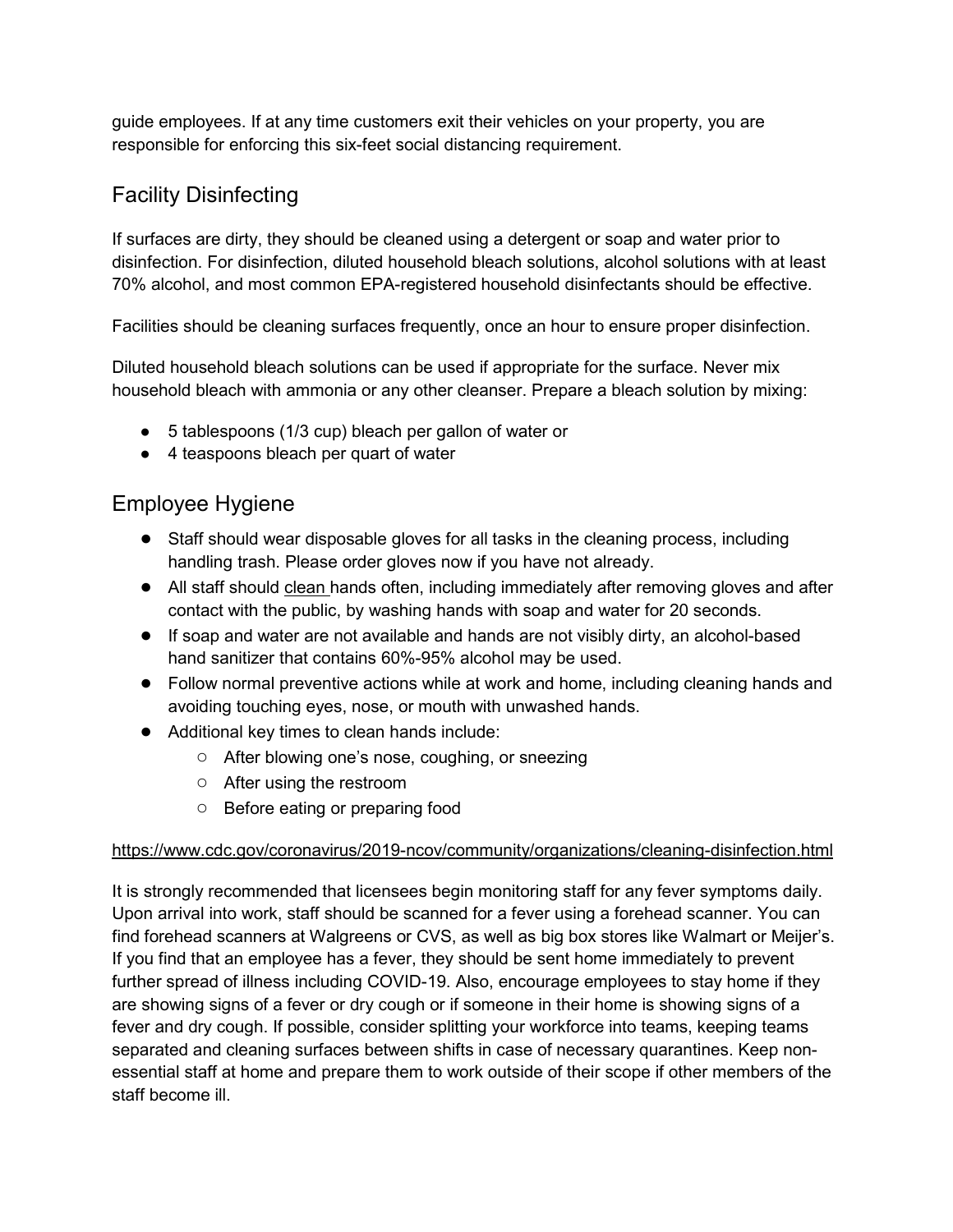guide employees. If at any time customers exit their vehicles on your property, you are responsible for enforcing this six-feet social distancing requirement.

### Facility Disinfecting

If surfaces are dirty, they should be cleaned using a detergent or soap and water prior to disinfection. For disinfection, diluted household bleach solutions, alcohol solutions with at least 70% alcohol, and most common EPA-registered household disinfectants should be effective.

Facilities should be cleaning surfaces frequently, once an hour to ensure proper disinfection.

Diluted household bleach solutions can be used if appropriate for the surface. Never mix household bleach with ammonia or any other cleanser. Prepare a bleach solution by mixing:

- 5 tablespoons (1/3 cup) bleach per gallon of water or
- 4 teaspoons bleach per quart of water

### Employee Hygiene

- Staff should wear disposable gloves for all tasks in the cleaning process, including handling trash. Please order gloves now if you have not already.
- All staff should [clean h](https://www.cdc.gov/handwashing/when-how-handwashing.html)ands often, including immediately after removing gloves and after contact with the public, by washing hands with soap and water for 20 seconds.
- If soap and water are not available and hands are not visibly dirty, an alcohol-based hand sanitizer that contains 60%-95% alcohol may be used.
- Follow normal preventive actions while at work and home, including cleaning hands and avoiding touching eyes, nose, or mouth with unwashed hands.
- Additional key times to clean hands include:
	- After blowing one's nose, coughing, or sneezing
	- After using the restroom
	- Before eating or preparing food

#### <https://www.cdc.gov/coronavirus/2019-ncov/community/organizations/cleaning-disinfection.html>

It is strongly recommended that licensees begin monitoring staff for any fever symptoms daily. Upon arrival into work, staff should be scanned for a fever using a forehead scanner. You can find forehead scanners at Walgreens or CVS, as well as big box stores like Walmart or Meijer's. If you find that an employee has a fever, they should be sent home immediately to prevent further spread of illness including COVID-19. Also, encourage employees to stay home if they are showing signs of a fever or dry cough or if someone in their home is showing signs of a fever and dry cough. If possible, consider splitting your workforce into teams, keeping teams separated and cleaning surfaces between shifts in case of necessary quarantines. Keep nonessential staff at home and prepare them to work outside of their scope if other members of the staff become ill.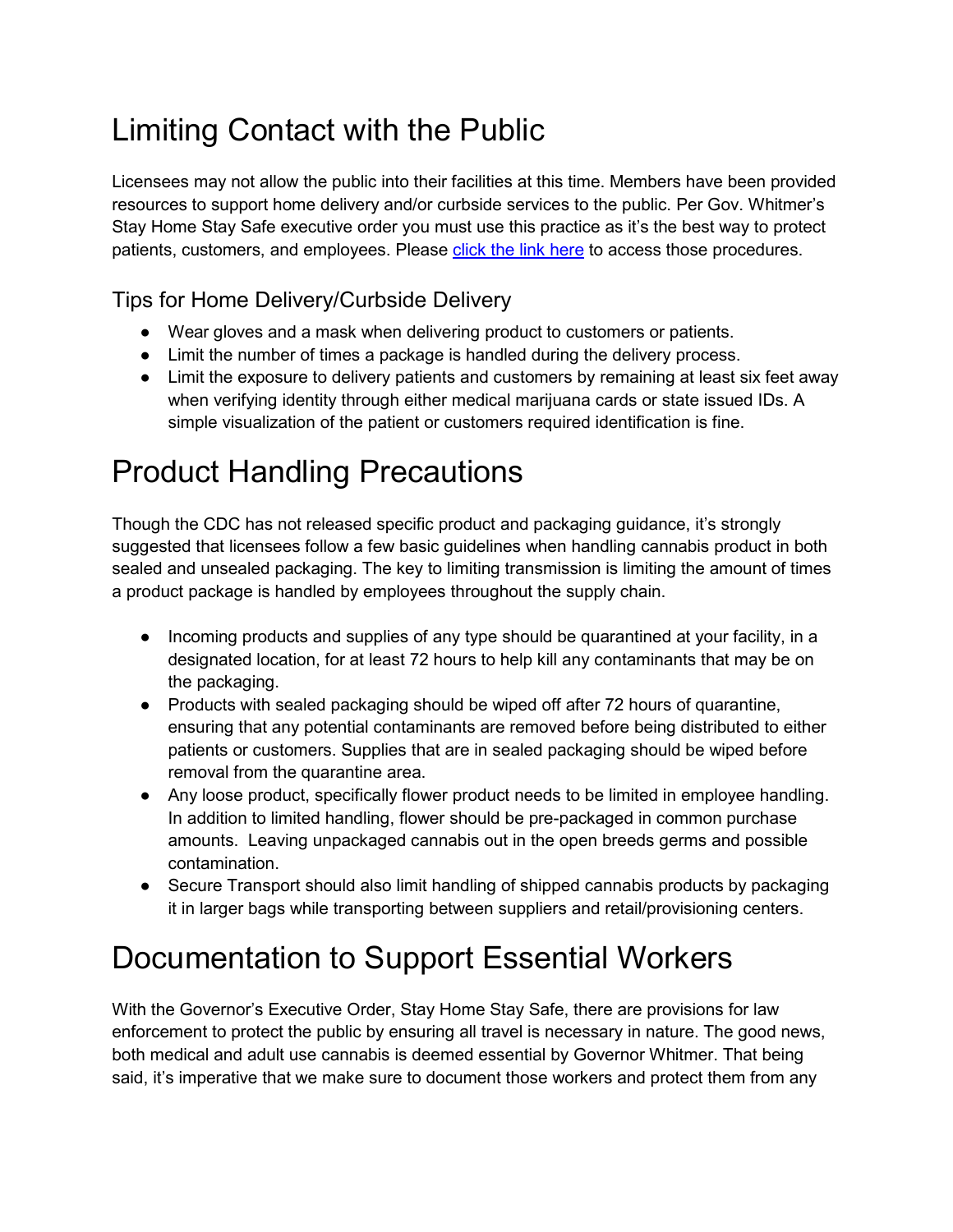# Limiting Contact with the Public

Licensees may not allow the public into their facilities at this time. Members have been provided resources to support home delivery and/or curbside services to the public. Per Gov. Whitmer's Stay Home Stay Safe executive order you must use this practice as it's the best way to protect patients, customers, and employees. Please [click the link here](https://www.micannabisindustryassociation.org/wp-content/uploads/2020/03/Memberemail.pdf) to access those procedures.

### Tips for Home Delivery/Curbside Delivery

- Wear gloves and a mask when delivering product to customers or patients.
- Limit the number of times a package is handled during the delivery process.
- Limit the exposure to delivery patients and customers by remaining at least six feet away when verifying identity through either medical marijuana cards or state issued IDs. A simple visualization of the patient or customers required identification is fine.

## Product Handling Precautions

Though the CDC has not released specific product and packaging guidance, it's strongly suggested that licensees follow a few basic guidelines when handling cannabis product in both sealed and unsealed packaging. The key to limiting transmission is limiting the amount of times a product package is handled by employees throughout the supply chain.

- Incoming products and supplies of any type should be quarantined at your facility, in a designated location, for at least 72 hours to help kill any contaminants that may be on the packaging.
- Products with sealed packaging should be wiped off after 72 hours of quarantine, ensuring that any potential contaminants are removed before being distributed to either patients or customers. Supplies that are in sealed packaging should be wiped before removal from the quarantine area.
- Any loose product, specifically flower product needs to be limited in employee handling. In addition to limited handling, flower should be pre-packaged in common purchase amounts. Leaving unpackaged cannabis out in the open breeds germs and possible contamination.
- Secure Transport should also limit handling of shipped cannabis products by packaging it in larger bags while transporting between suppliers and retail/provisioning centers.

# Documentation to Support Essential Workers

With the Governor's Executive Order, Stay Home Stay Safe, there are provisions for law enforcement to protect the public by ensuring all travel is necessary in nature. The good news, both medical and adult use cannabis is deemed essential by Governor Whitmer. That being said, it's imperative that we make sure to document those workers and protect them from any